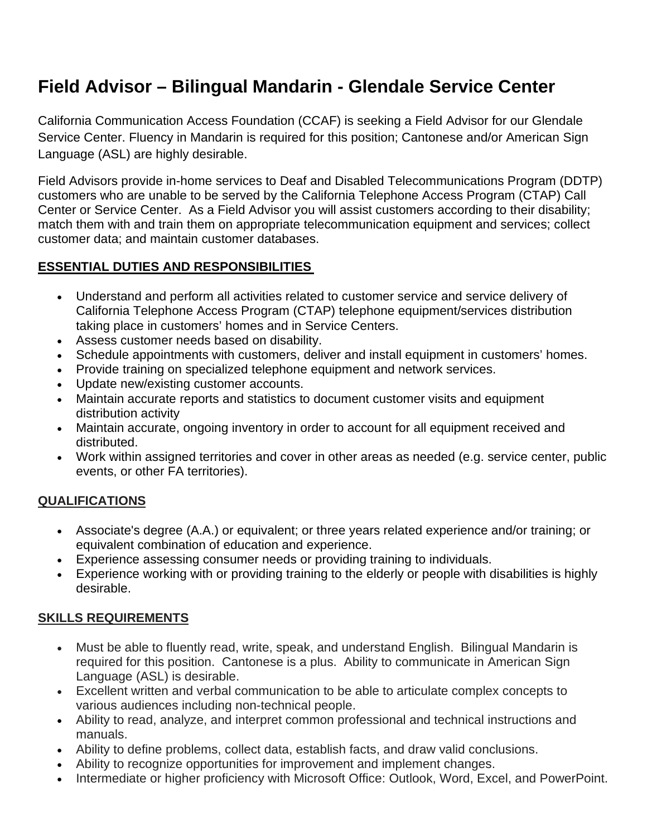# **Field Advisor – Bilingual Mandarin - Glendale Service Center**

California Communication Access Foundation (CCAF) is seeking a Field Advisor for our Glendale Service Center. Fluency in Mandarin is required for this position; Cantonese and/or American Sign Language (ASL) are highly desirable.

Field Advisors provide in-home services to Deaf and Disabled Telecommunications Program (DDTP) customers who are unable to be served by the California Telephone Access Program (CTAP) Call Center or Service Center. As a Field Advisor you will assist customers according to their disability; match them with and train them on appropriate telecommunication equipment and services; collect customer data; and maintain customer databases.

## **ESSENTIAL DUTIES AND RESPONSIBILITIES**

- Understand and perform all activities related to customer service and service delivery of California Telephone Access Program (CTAP) telephone equipment/services distribution taking place in customers' homes and in Service Centers.
- Assess customer needs based on disability.
- Schedule appointments with customers, deliver and install equipment in customers' homes.
- Provide training on specialized telephone equipment and network services.
- Update new/existing customer accounts.
- Maintain accurate reports and statistics to document customer visits and equipment distribution activity
- Maintain accurate, ongoing inventory in order to account for all equipment received and distributed.
- Work within assigned territories and cover in other areas as needed (e.g. service center, public events, or other FA territories).

## **QUALIFICATIONS**

- Associate's degree (A.A.) or equivalent; or three years related experience and/or training; or equivalent combination of education and experience.
- Experience assessing consumer needs or providing training to individuals.
- Experience working with or providing training to the elderly or people with disabilities is highly desirable.

## **SKILLS REQUIREMENTS**

- Must be able to fluently read, write, speak, and understand English. Bilingual Mandarin is required for this position. Cantonese is a plus. Ability to communicate in American Sign Language (ASL) is desirable.
- Excellent written and verbal communication to be able to articulate complex concepts to various audiences including non-technical people.
- Ability to read, analyze, and interpret common professional and technical instructions and manuals.
- Ability to define problems, collect data, establish facts, and draw valid conclusions.
- Ability to recognize opportunities for improvement and implement changes.
- Intermediate or higher proficiency with Microsoft Office: Outlook, Word, Excel, and PowerPoint.